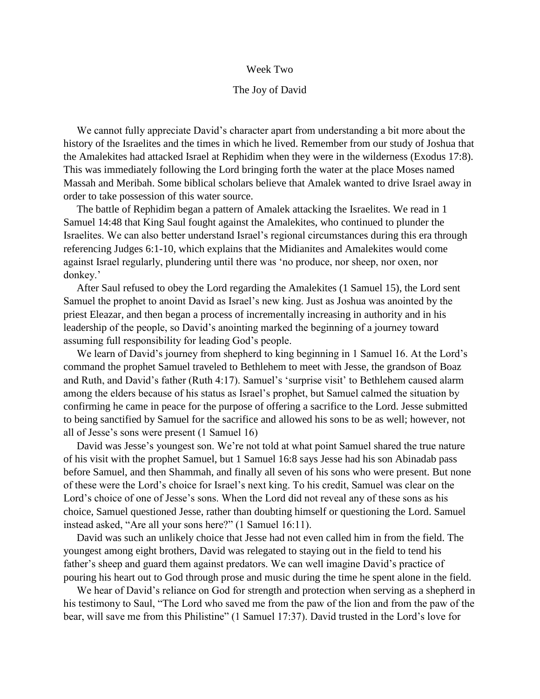## Week Two

## The Joy of David

 We cannot fully appreciate David's character apart from understanding a bit more about the history of the Israelites and the times in which he lived. Remember from our study of Joshua that the Amalekites had attacked Israel at Rephidim when they were in the wilderness (Exodus 17:8). This was immediately following the Lord bringing forth the water at the place Moses named Massah and Meribah. Some biblical scholars believe that Amalek wanted to drive Israel away in order to take possession of this water source.

 The battle of Rephidim began a pattern of Amalek attacking the Israelites. We read in 1 Samuel 14:48 that King Saul fought against the Amalekites, who continued to plunder the Israelites. We can also better understand Israel's regional circumstances during this era through referencing Judges 6:1-10, which explains that the Midianites and Amalekites would come against Israel regularly, plundering until there was 'no produce, nor sheep, nor oxen, nor donkey.'

 After Saul refused to obey the Lord regarding the Amalekites (1 Samuel 15), the Lord sent Samuel the prophet to anoint David as Israel's new king. Just as Joshua was anointed by the priest Eleazar, and then began a process of incrementally increasing in authority and in his leadership of the people, so David's anointing marked the beginning of a journey toward assuming full responsibility for leading God's people.

 We learn of David's journey from shepherd to king beginning in 1 Samuel 16. At the Lord's command the prophet Samuel traveled to Bethlehem to meet with Jesse, the grandson of Boaz and Ruth, and David's father (Ruth 4:17). Samuel's 'surprise visit' to Bethlehem caused alarm among the elders because of his status as Israel's prophet, but Samuel calmed the situation by confirming he came in peace for the purpose of offering a sacrifice to the Lord. Jesse submitted to being sanctified by Samuel for the sacrifice and allowed his sons to be as well; however, not all of Jesse's sons were present (1 Samuel 16)

 David was Jesse's youngest son. We're not told at what point Samuel shared the true nature of his visit with the prophet Samuel, but 1 Samuel 16:8 says Jesse had his son Abinadab pass before Samuel, and then Shammah, and finally all seven of his sons who were present. But none of these were the Lord's choice for Israel's next king. To his credit, Samuel was clear on the Lord's choice of one of Jesse's sons. When the Lord did not reveal any of these sons as his choice, Samuel questioned Jesse, rather than doubting himself or questioning the Lord. Samuel instead asked, "Are all your sons here?" (1 Samuel 16:11).

 David was such an unlikely choice that Jesse had not even called him in from the field. The youngest among eight brothers, David was relegated to staying out in the field to tend his father's sheep and guard them against predators. We can well imagine David's practice of pouring his heart out to God through prose and music during the time he spent alone in the field.

 We hear of David's reliance on God for strength and protection when serving as a shepherd in his testimony to Saul, "The Lord who saved me from the paw of the lion and from the paw of the bear, will save me from this Philistine" (1 Samuel 17:37). David trusted in the Lord's love for